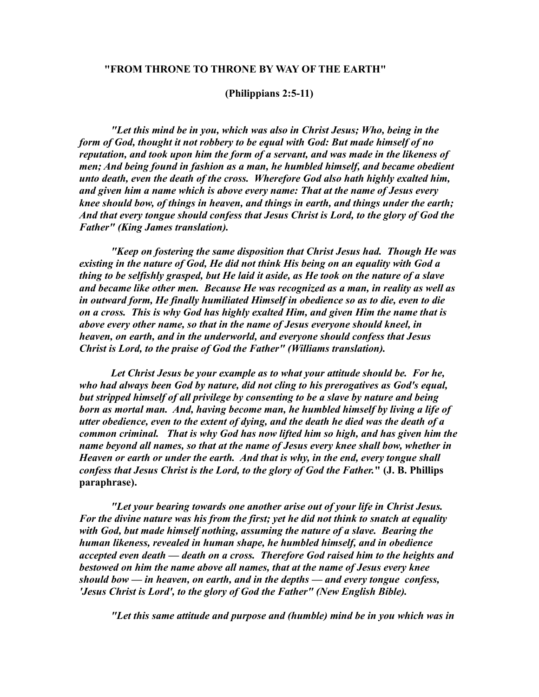# **"FROM THRONE TO THRONE BY WAY OF THE EARTH"**

#### **(Philippians 2:5-11)**

*"Let this mind be in you, which was also in Christ Jesus; Who, being in the form of God, thought it not robbery to be equal with God: But made himself of no reputation, and took upon him the form of a servant, and was made in the likeness of men; And being found in fashion as a man, he humbled himself, and became obedient unto death, even the death of the cross. Wherefore God also hath highly exalted him, and given him a name which is above every name: That at the name of Jesus every knee should bow, of things in heaven, and things in earth, and things under the earth; And that every tongue should confess that Jesus Christ is Lord, to the glory of God the Father" (King James translation).*

*"Keep on fostering the same disposition that Christ Jesus had. Though He was existing in the nature of God, He did not think His being on an equality with God a thing to be selfishly grasped, but He laid it aside, as He took on the nature of a slave and became like other men. Because He was recognized as a man, in reality as well as in outward form, He finally humiliated Himself in obedience so as to die, even to die on a cross. This is why God has highly exalted Him, and given Him the name that is above every other name, so that in the name of Jesus everyone should kneel, in heaven, on earth, and in the underworld, and everyone should confess that Jesus Christ is Lord, to the praise of God the Father" (Williams translation).*

*Let Christ Jesus be your example as to what your attitude should be. For he, who had always been God by nature, did not cling to his prerogatives as God's equal, but stripped himself of all privilege by consenting to be a slave by nature and being born as mortal man. And, having become man, he humbled himself by living a life of utter obedience, even to the extent of dying, and the death he died was the death of a common criminal. That is why God has now lifted him so high, and has given him the name beyond all names, so that at the name of Jesus every knee shall bow, whether in Heaven or earth or under the earth. And that is why, in the end, every tongue shall confess that Jesus Christ is the Lord, to the glory of God the Father.***" (J. B. Phillips paraphrase).**

*"Let your bearing towards one another arise out of your life in Christ Jesus. For the divine nature was his from the first; yet he did not think to snatch at equality with God, but made himself nothing, assuming the nature of a slave. Bearing the human likeness, revealed in human shape, he humbled himself, and in obedience accepted even death — death on a cross. Therefore God raised him to the heights and bestowed on him the name above all names, that at the name of Jesus every knee should bow — in heaven, on earth, and in the depths — and every tongue confess, 'Jesus Christ is Lord', to the glory of God the Father" (New English Bible).*

*"Let this same attitude and purpose and (humble) mind be in you which was in*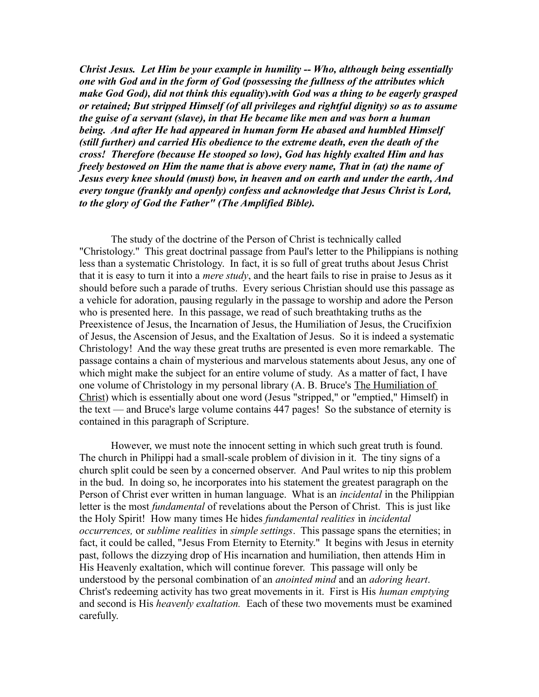*Christ Jesus. Let Him be your example in humility -- Who, although being essentially one with God and in the form of God (possessing the fullness of the attributes which make God God), did not think this equality***).***with God was a thing to be eagerly grasped or retained; But stripped Himself (of all privileges and rightful dignity) so as to assume the guise of a servant (slave), in that He became like men and was born a human being. And after He had appeared in human form He abased and humbled Himself (still further) and carried His obedience to the extreme death, even the death of the cross! Therefore (because He stooped so low), God has highly exalted Him and has freely bestowed on Him the name that is above every name, That in (at) the name of Jesus every knee should (must) bow, in heaven and on earth and under the earth, And every tongue (frankly and openly) confess and acknowledge that Jesus Christ is Lord, to the glory of God the Father" (The Amplified Bible).*

The study of the doctrine of the Person of Christ is technically called "Christology." This great doctrinal passage from Paul's letter to the Philippians is nothing less than a systematic Christology. In fact, it is so full of great truths about Jesus Christ that it is easy to turn it into a *mere study*, and the heart fails to rise in praise to Jesus as it should before such a parade of truths. Every serious Christian should use this passage as a vehicle for adoration, pausing regularly in the passage to worship and adore the Person who is presented here. In this passage, we read of such breathtaking truths as the Preexistence of Jesus, the Incarnation of Jesus, the Humiliation of Jesus, the Crucifixion of Jesus, the Ascension of Jesus, and the Exaltation of Jesus. So it is indeed a systematic Christology! And the way these great truths are presented is even more remarkable. The passage contains a chain of mysterious and marvelous statements about Jesus, any one of which might make the subject for an entire volume of study. As a matter of fact, I have one volume of Christology in my personal library (A. B. Bruce's The Humiliation of Christ) which is essentially about one word (Jesus "stripped," or "emptied," Himself) in the text — and Bruce's large volume contains 447 pages! So the substance of eternity is contained in this paragraph of Scripture.

However, we must note the innocent setting in which such great truth is found. The church in Philippi had a small-scale problem of division in it. The tiny signs of a church split could be seen by a concerned observer. And Paul writes to nip this problem in the bud. In doing so, he incorporates into his statement the greatest paragraph on the Person of Christ ever written in human language. What is an *incidental* in the Philippian letter is the most *fundamental* of revelations about the Person of Christ. This is just like the Holy Spirit! How many times He hides *fundamental realities* in *incidental occurrences,* or *sublime realities* in *simple settings*. This passage spans the eternities; in fact, it could be called, "Jesus From Eternity to Eternity." It begins with Jesus in eternity past, follows the dizzying drop of His incarnation and humiliation, then attends Him in His Heavenly exaltation, which will continue forever. This passage will only be understood by the personal combination of an *anointed mind* and an *adoring heart*. Christ's redeeming activity has two great movements in it. First is His *human emptying* and second is His *heavenly exaltation.* Each of these two movements must be examined carefully.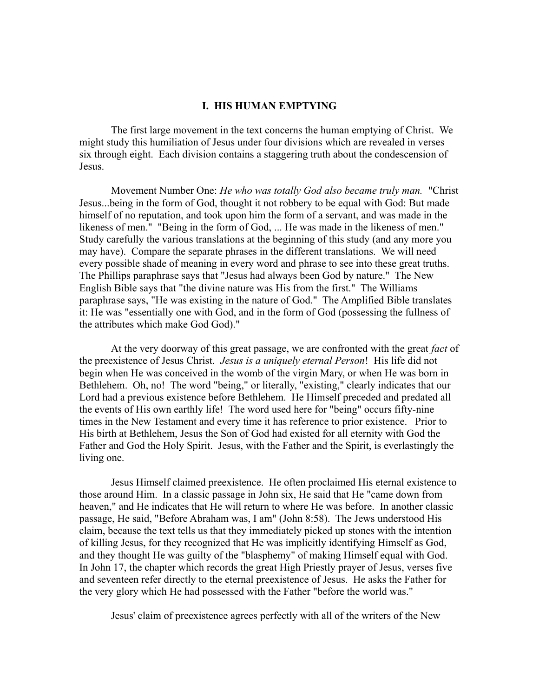### **I. HIS HUMAN EMPTYING**

The first large movement in the text concerns the human emptying of Christ. We might study this humiliation of Jesus under four divisions which are revealed in verses six through eight. Each division contains a staggering truth about the condescension of Jesus.

Movement Number One: *He who was totally God also became truly man.* "Christ Jesus...being in the form of God, thought it not robbery to be equal with God: But made himself of no reputation, and took upon him the form of a servant, and was made in the likeness of men." "Being in the form of God, ... He was made in the likeness of men." Study carefully the various translations at the beginning of this study (and any more you may have). Compare the separate phrases in the different translations. We will need every possible shade of meaning in every word and phrase to see into these great truths. The Phillips paraphrase says that "Jesus had always been God by nature." The New English Bible says that "the divine nature was His from the first." The Williams paraphrase says, "He was existing in the nature of God." The Amplified Bible translates it: He was "essentially one with God, and in the form of God (possessing the fullness of the attributes which make God God)."

At the very doorway of this great passage, we are confronted with the great *fact* of the preexistence of Jesus Christ. *Jesus is a uniquely eternal Person*! His life did not begin when He was conceived in the womb of the virgin Mary, or when He was born in Bethlehem. Oh, no! The word "being," or literally, "existing," clearly indicates that our Lord had a previous existence before Bethlehem. He Himself preceded and predated all the events of His own earthly life! The word used here for "being" occurs fifty-nine times in the New Testament and every time it has reference to prior existence. Prior to His birth at Bethlehem, Jesus the Son of God had existed for all eternity with God the Father and God the Holy Spirit. Jesus, with the Father and the Spirit, is everlastingly the living one.

Jesus Himself claimed preexistence. He often proclaimed His eternal existence to those around Him. In a classic passage in John six, He said that He "came down from heaven," and He indicates that He will return to where He was before. In another classic passage, He said, "Before Abraham was, I am" (John 8:58). The Jews understood His claim, because the text tells us that they immediately picked up stones with the intention of killing Jesus, for they recognized that He was implicitly identifying Himself as God, and they thought He was guilty of the "blasphemy" of making Himself equal with God. In John 17, the chapter which records the great High Priestly prayer of Jesus, verses five and seventeen refer directly to the eternal preexistence of Jesus. He asks the Father for the very glory which He had possessed with the Father "before the world was."

Jesus' claim of preexistence agrees perfectly with all of the writers of the New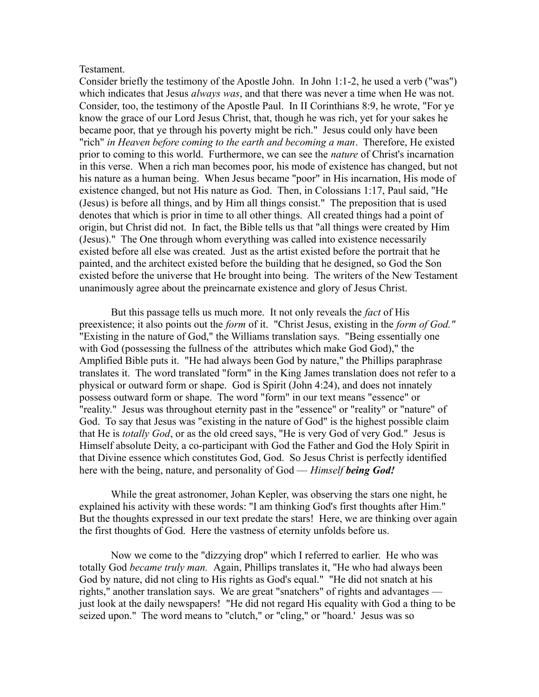# Testament.

Consider briefly the testimony of the Apostle John. In John 1:1-2, he used a verb ("was") which indicates that Jesus *always was*, and that there was never a time when He was not. Consider, too, the testimony of the Apostle Paul. In II Corinthians 8:9, he wrote, "For ye know the grace of our Lord Jesus Christ, that, though he was rich, yet for your sakes he became poor, that ye through his poverty might be rich." Jesus could only have been "rich" *in Heaven before coming to the earth and becoming a man*. Therefore, He existed prior to coming to this world. Furthermore, we can see the *nature* of Christ's incarnation in this verse. When a rich man becomes poor, his mode of existence has changed, but not his nature as a human being. When Jesus became "poor" in His incarnation, His mode of existence changed, but not His nature as God. Then, in Colossians 1:17, Paul said, "He (Jesus) is before all things, and by Him all things consist." The preposition that is used denotes that which is prior in time to all other things. All created things had a point of origin, but Christ did not. In fact, the Bible tells us that "all things were created by Him (Jesus)." The One through whom everything was called into existence necessarily existed before all else was created. Just as the artist existed before the portrait that he painted, and the architect existed before the building that he designed, so God the Son existed before the universe that He brought into being. The writers of the New Testament unanimously agree about the preincarnate existence and glory of Jesus Christ.

But this passage tells us much more. It not only reveals the *fact* of His preexistence; it also points out the *form* of it. "Christ Jesus, existing in the *form of God."* "Existing in the nature of God," the Williams translation says. "Being essentially one with God (possessing the fullness of the attributes which make God God)," the Amplified Bible puts it. "He had always been God by nature," the Phillips paraphrase translates it. The word translated "form" in the King James translation does not refer to a physical or outward form or shape. God is Spirit (John 4:24), and does not innately possess outward form or shape. The word "form" in our text means "essence" or "reality." Jesus was throughout eternity past in the "essence" or "reality" or "nature" of God. To say that Jesus was "existing in the nature of God" is the highest possible claim that He is *totally God*, or as the old creed says, "He is very God of very God." Jesus is Himself absolute Deity, a co-participant with God the Father and God the Holy Spirit in that Divine essence which constitutes God, God. So Jesus Christ is perfectly identified here with the being, nature, and personality of God — *Himself being God!*

While the great astronomer, Johan Kepler, was observing the stars one night, he explained his activity with these words: "I am thinking God's first thoughts after Him." But the thoughts expressed in our text predate the stars! Here, we are thinking over again the first thoughts of God. Here the vastness of eternity unfolds before us.

Now we come to the "dizzying drop" which I referred to earlier. He who was totally God *became truly man.* Again, Phillips translates it, "He who had always been God by nature, did not cling to His rights as God's equal." "He did not snatch at his rights," another translation says. We are great "snatchers" of rights and advantages just look at the daily newspapers! "He did not regard His equality with God a thing to be seized upon." The word means to "clutch," or "cling," or "hoard.' Jesus was so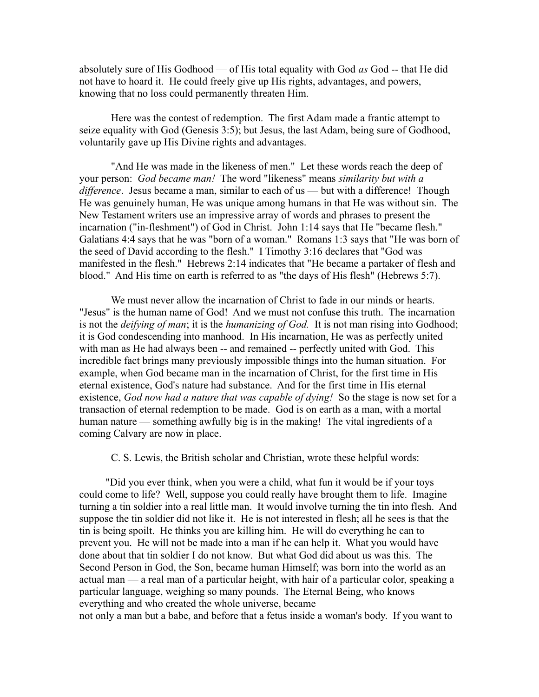absolutely sure of His Godhood — of His total equality with God *as* God -- that He did not have to hoard it. He could freely give up His rights, advantages, and powers, knowing that no loss could permanently threaten Him.

Here was the contest of redemption. The first Adam made a frantic attempt to seize equality with God (Genesis 3:5); but Jesus, the last Adam, being sure of Godhood, voluntarily gave up His Divine rights and advantages.

"And He was made in the likeness of men." Let these words reach the deep of your person: *God became man!* The word "likeness" means *similarity but with a difference*. Jesus became a man, similar to each of us — but with a difference! Though He was genuinely human, He was unique among humans in that He was without sin. The New Testament writers use an impressive array of words and phrases to present the incarnation ("in-fleshment") of God in Christ. John 1:14 says that He "became flesh." Galatians 4:4 says that he was "born of a woman." Romans 1:3 says that "He was born of the seed of David according to the flesh." I Timothy 3:16 declares that "God was manifested in the flesh." Hebrews 2:14 indicates that "He became a partaker of flesh and blood." And His time on earth is referred to as "the days of His flesh" (Hebrews 5:7).

We must never allow the incarnation of Christ to fade in our minds or hearts. "Jesus" is the human name of God! And we must not confuse this truth. The incarnation is not the *deifying of man*; it is the *humanizing of God.* It is not man rising into Godhood; it is God condescending into manhood. In His incarnation, He was as perfectly united with man as He had always been -- and remained -- perfectly united with God. This incredible fact brings many previously impossible things into the human situation. For example, when God became man in the incarnation of Christ, for the first time in His eternal existence, God's nature had substance. And for the first time in His eternal existence, *God now had a nature that was capable of dying!* So the stage is now set for a transaction of eternal redemption to be made. God is on earth as a man, with a mortal human nature — something awfully big is in the making! The vital ingredients of a coming Calvary are now in place.

C. S. Lewis, the British scholar and Christian, wrote these helpful words:

 "Did you ever think, when you were a child, what fun it would be if your toys could come to life? Well, suppose you could really have brought them to life. Imagine turning a tin soldier into a real little man. It would involve turning the tin into flesh. And suppose the tin soldier did not like it. He is not interested in flesh; all he sees is that the tin is being spoilt. He thinks you are killing him. He will do everything he can to prevent you. He will not be made into a man if he can help it. What you would have done about that tin soldier I do not know. But what God did about us was this. The Second Person in God, the Son, became human Himself; was born into the world as an actual man — a real man of a particular height, with hair of a particular color, speaking a particular language, weighing so many pounds. The Eternal Being, who knows everything and who created the whole universe, became

not only a man but a babe, and before that a fetus inside a woman's body. If you want to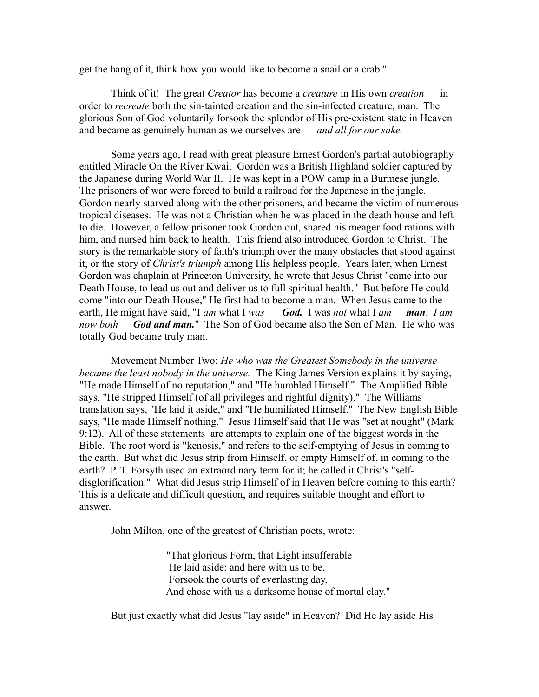get the hang of it, think how you would like to become a snail or a crab."

Think of it! The great *Creator* has become a *creature* in His own *creation* — in order to *recreate* both the sin-tainted creation and the sin-infected creature, man. The glorious Son of God voluntarily forsook the splendor of His pre-existent state in Heaven and became as genuinely human as we ourselves are — *and all for our sake.*

Some years ago, I read with great pleasure Ernest Gordon's partial autobiography entitled Miracle On the River Kwai. Gordon was a British Highland soldier captured by the Japanese during World War II. He was kept in a POW camp in a Burmese jungle. The prisoners of war were forced to build a railroad for the Japanese in the jungle. Gordon nearly starved along with the other prisoners, and became the victim of numerous tropical diseases. He was not a Christian when he was placed in the death house and left to die. However, a fellow prisoner took Gordon out, shared his meager food rations with him, and nursed him back to health. This friend also introduced Gordon to Christ. The story is the remarkable story of faith's triumph over the many obstacles that stood against it, or the story of *Christ's triumph* among His helpless people. Years later, when Ernest Gordon was chaplain at Princeton University, he wrote that Jesus Christ "came into our Death House, to lead us out and deliver us to full spiritual health." But before He could come "into our Death House," He first had to become a man. When Jesus came to the earth, He might have said, "I *am* what I *was — God.* I was *not* what I *am — man*. *I am now both — God and man.*" The Son of God became also the Son of Man. He who was totally God became truly man.

Movement Number Two: *He who was the Greatest Somebody in the universe became the least nobody in the universe.* The King James Version explains it by saying, "He made Himself of no reputation," and "He humbled Himself." The Amplified Bible says, "He stripped Himself (of all privileges and rightful dignity)." The Williams translation says, "He laid it aside," and "He humiliated Himself." The New English Bible says, "He made Himself nothing." Jesus Himself said that He was "set at nought" (Mark 9:12). All of these statements are attempts to explain one of the biggest words in the Bible. The root word is "kenosis," and refers to the self-emptying of Jesus in coming to the earth. But what did Jesus strip from Himself, or empty Himself of, in coming to the earth? P. T. Forsyth used an extraordinary term for it; he called it Christ's "selfdisglorification." What did Jesus strip Himself of in Heaven before coming to this earth? This is a delicate and difficult question, and requires suitable thought and effort to answer.

John Milton, one of the greatest of Christian poets, wrote:

 "That glorious Form, that Light insufferable He laid aside: and here with us to be, Forsook the courts of everlasting day, And chose with us a darksome house of mortal clay."

But just exactly what did Jesus "lay aside" in Heaven? Did He lay aside His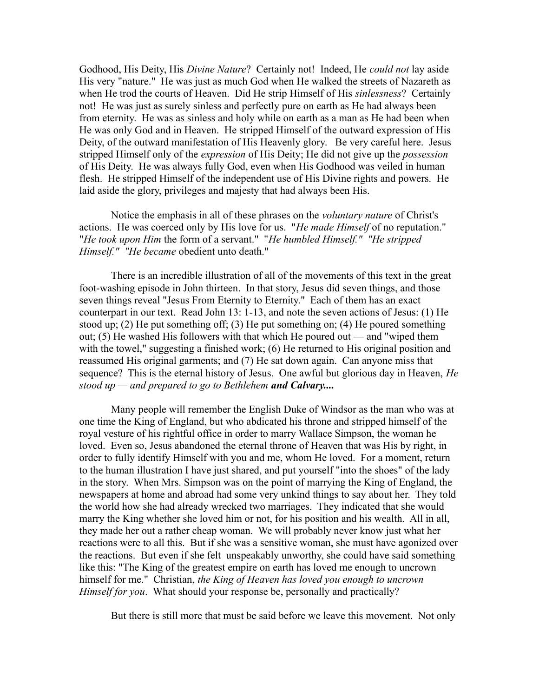Godhood, His Deity, His *Divine Nature*? Certainly not! Indeed, He *could not* lay aside His very "nature." He was just as much God when He walked the streets of Nazareth as when He trod the courts of Heaven. Did He strip Himself of His *sinlessness*? Certainly not! He was just as surely sinless and perfectly pure on earth as He had always been from eternity. He was as sinless and holy while on earth as a man as He had been when He was only God and in Heaven. He stripped Himself of the outward expression of His Deity, of the outward manifestation of His Heavenly glory. Be very careful here. Jesus stripped Himself only of the *expression* of His Deity; He did not give up the *possession* of His Deity. He was always fully God, even when His Godhood was veiled in human flesh. He stripped Himself of the independent use of His Divine rights and powers. He laid aside the glory, privileges and majesty that had always been His.

Notice the emphasis in all of these phrases on the *voluntary nature* of Christ's actions. He was coerced only by His love for us. "*He made Himself* of no reputation." "*He took upon Him* the form of a servant." "*He humbled Himself." "He stripped Himself." "He became* obedient unto death."

There is an incredible illustration of all of the movements of this text in the great foot-washing episode in John thirteen. In that story, Jesus did seven things, and those seven things reveal "Jesus From Eternity to Eternity." Each of them has an exact counterpart in our text. Read John 13: 1-13, and note the seven actions of Jesus: (1) He stood up; (2) He put something off; (3) He put something on; (4) He poured something out; (5) He washed His followers with that which He poured out — and "wiped them with the towel," suggesting a finished work; (6) He returned to His original position and reassumed His original garments; and (7) He sat down again. Can anyone miss that sequence? This is the eternal history of Jesus. One awful but glorious day in Heaven, *He stood up — and prepared to go to Bethlehem and Calvary....*

Many people will remember the English Duke of Windsor as the man who was at one time the King of England, but who abdicated his throne and stripped himself of the royal vesture of his rightful office in order to marry Wallace Simpson, the woman he loved. Even so, Jesus abandoned the eternal throne of Heaven that was His by right, in order to fully identify Himself with you and me, whom He loved. For a moment, return to the human illustration I have just shared, and put yourself "into the shoes" of the lady in the story. When Mrs. Simpson was on the point of marrying the King of England, the newspapers at home and abroad had some very unkind things to say about her. They told the world how she had already wrecked two marriages. They indicated that she would marry the King whether she loved him or not, for his position and his wealth. All in all, they made her out a rather cheap woman. We will probably never know just what her reactions were to all this. But if she was a sensitive woman, she must have agonized over the reactions. But even if she felt unspeakably unworthy, she could have said something like this: "The King of the greatest empire on earth has loved me enough to uncrown himself for me." Christian, *the King of Heaven has loved you enough to uncrown Himself for you*. What should your response be, personally and practically?

But there is still more that must be said before we leave this movement. Not only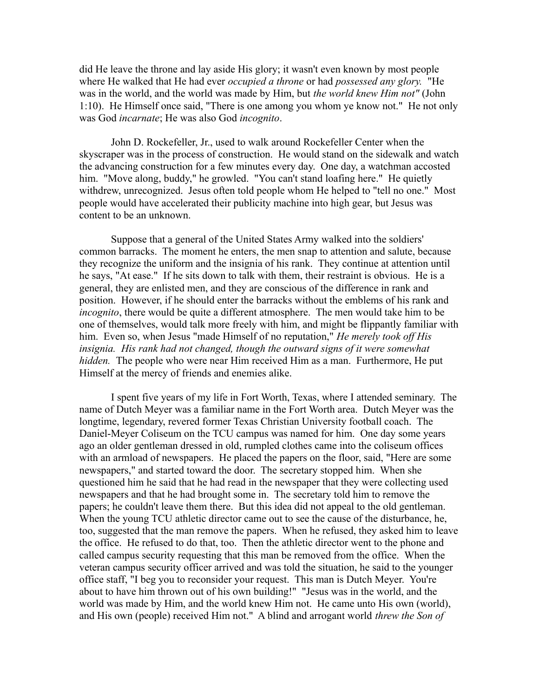did He leave the throne and lay aside His glory; it wasn't even known by most people where He walked that He had ever *occupied a throne* or had *possessed any glory.* "He was in the world, and the world was made by Him, but *the world knew Him not"* (John 1:10). He Himself once said, "There is one among you whom ye know not." He not only was God *incarnate*; He was also God *incognito*.

John D. Rockefeller, Jr., used to walk around Rockefeller Center when the skyscraper was in the process of construction. He would stand on the sidewalk and watch the advancing construction for a few minutes every day. One day, a watchman accosted him. "Move along, buddy," he growled. "You can't stand loafing here." He quietly withdrew, unrecognized. Jesus often told people whom He helped to "tell no one." Most people would have accelerated their publicity machine into high gear, but Jesus was content to be an unknown.

Suppose that a general of the United States Army walked into the soldiers' common barracks. The moment he enters, the men snap to attention and salute, because they recognize the uniform and the insignia of his rank. They continue at attention until he says, "At ease." If he sits down to talk with them, their restraint is obvious. He is a general, they are enlisted men, and they are conscious of the difference in rank and position. However, if he should enter the barracks without the emblems of his rank and *incognito*, there would be quite a different atmosphere. The men would take him to be one of themselves, would talk more freely with him, and might be flippantly familiar with him. Even so, when Jesus "made Himself of no reputation," *He merely took off His insignia. His rank had not changed, though the outward signs of it were somewhat hidden.* The people who were near Him received Him as a man. Furthermore, He put Himself at the mercy of friends and enemies alike.

I spent five years of my life in Fort Worth, Texas, where I attended seminary. The name of Dutch Meyer was a familiar name in the Fort Worth area. Dutch Meyer was the longtime, legendary, revered former Texas Christian University football coach. The Daniel-Meyer Coliseum on the TCU campus was named for him. One day some years ago an older gentleman dressed in old, rumpled clothes came into the coliseum offices with an armload of newspapers. He placed the papers on the floor, said, "Here are some newspapers," and started toward the door. The secretary stopped him. When she questioned him he said that he had read in the newspaper that they were collecting used newspapers and that he had brought some in. The secretary told him to remove the papers; he couldn't leave them there. But this idea did not appeal to the old gentleman. When the young TCU athletic director came out to see the cause of the disturbance, he, too, suggested that the man remove the papers. When he refused, they asked him to leave the office. He refused to do that, too. Then the athletic director went to the phone and called campus security requesting that this man be removed from the office. When the veteran campus security officer arrived and was told the situation, he said to the younger office staff, "I beg you to reconsider your request. This man is Dutch Meyer. You're about to have him thrown out of his own building!" "Jesus was in the world, and the world was made by Him, and the world knew Him not. He came unto His own (world), and His own (people) received Him not." A blind and arrogant world *threw the Son of*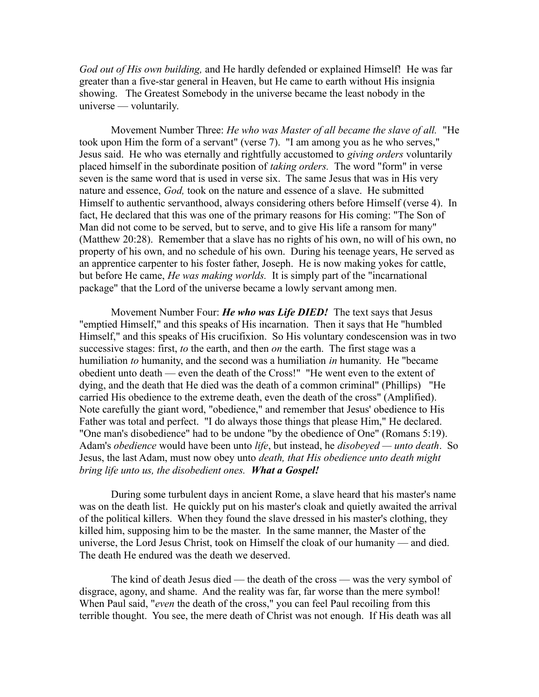*God out of His own building,* and He hardly defended or explained Himself! He was far greater than a five-star general in Heaven, but He came to earth without His insignia showing. The Greatest Somebody in the universe became the least nobody in the universe — voluntarily.

Movement Number Three: *He who was Master of all became the slave of all.* "He took upon Him the form of a servant" (verse 7). "I am among you as he who serves," Jesus said. He who was eternally and rightfully accustomed to *giving orders* voluntarily placed himself in the subordinate position of *taking orders.* The word "form" in verse seven is the same word that is used in verse six. The same Jesus that was in His very nature and essence, *God,* took on the nature and essence of a slave. He submitted Himself to authentic servanthood, always considering others before Himself (verse 4). In fact, He declared that this was one of the primary reasons for His coming: "The Son of Man did not come to be served, but to serve, and to give His life a ransom for many" (Matthew 20:28). Remember that a slave has no rights of his own, no will of his own, no property of his own, and no schedule of his own. During his teenage years, He served as an apprentice carpenter to his foster father, Joseph. He is now making yokes for cattle, but before He came, *He was making worlds.* It is simply part of the "incarnational package" that the Lord of the universe became a lowly servant among men.

Movement Number Four: *He who was Life DIED!* The text says that Jesus "emptied Himself," and this speaks of His incarnation. Then it says that He "humbled Himself," and this speaks of His crucifixion. So His voluntary condescension was in two successive stages: first, *to* the earth, and then *on* the earth. The first stage was a humiliation *to* humanity, and the second was a humiliation *in* humanity. He "became obedient unto death — even the death of the Cross!" "He went even to the extent of dying, and the death that He died was the death of a common criminal" (Phillips) "He carried His obedience to the extreme death, even the death of the cross" (Amplified). Note carefully the giant word, "obedience," and remember that Jesus' obedience to His Father was total and perfect. "I do always those things that please Him," He declared. "One man's disobedience" had to be undone "by the obedience of One" (Romans 5:19). Adam's *obedience* would have been unto *life*, but instead, he *disobeyed — unto death*. So Jesus, the last Adam, must now obey unto *death, that His obedience unto death might bring life unto us, the disobedient ones. What a Gospel!* 

During some turbulent days in ancient Rome, a slave heard that his master's name was on the death list. He quickly put on his master's cloak and quietly awaited the arrival of the political killers. When they found the slave dressed in his master's clothing, they killed him, supposing him to be the master. In the same manner, the Master of the universe, the Lord Jesus Christ, took on Himself the cloak of our humanity — and died. The death He endured was the death we deserved.

The kind of death Jesus died — the death of the cross — was the very symbol of disgrace, agony, and shame. And the reality was far, far worse than the mere symbol! When Paul said, "*even* the death of the cross," you can feel Paul recoiling from this terrible thought. You see, the mere death of Christ was not enough. If His death was all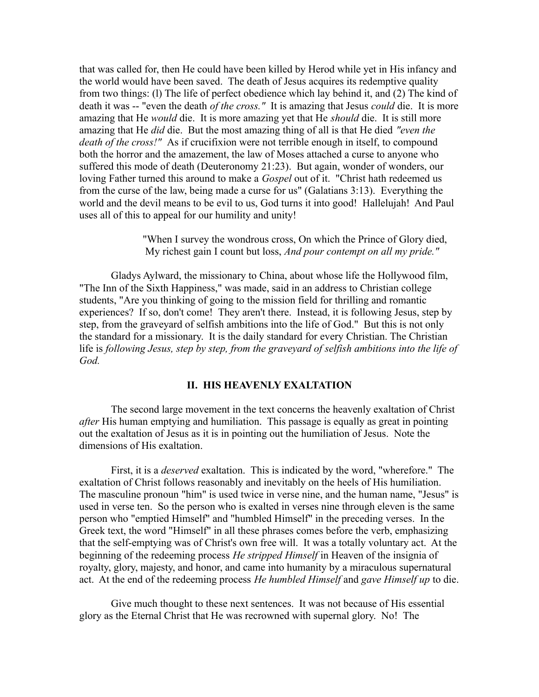that was called for, then He could have been killed by Herod while yet in His infancy and the world would have been saved. The death of Jesus acquires its redemptive quality from two things: (l) The life of perfect obedience which lay behind it, and (2) The kind of death it was -- "even the death *of the cross."* It is amazing that Jesus *could* die. It is more amazing that He *would* die. It is more amazing yet that He *should* die. It is still more amazing that He *did* die. But the most amazing thing of all is that He died *"even the death of the cross!"* As if crucifixion were not terrible enough in itself, to compound both the horror and the amazement, the law of Moses attached a curse to anyone who suffered this mode of death (Deuteronomy 21:23). But again, wonder of wonders, our loving Father turned this around to make a *Gospel* out of it. "Christ hath redeemed us from the curse of the law, being made a curse for us" (Galatians 3:13). Everything the world and the devil means to be evil to us, God turns it into good! Hallelujah! And Paul uses all of this to appeal for our humility and unity!

> "When I survey the wondrous cross, On which the Prince of Glory died, My richest gain I count but loss, *And pour contempt on all my pride."*

Gladys Aylward, the missionary to China, about whose life the Hollywood film, "The Inn of the Sixth Happiness," was made, said in an address to Christian college students, "Are you thinking of going to the mission field for thrilling and romantic experiences? If so, don't come! They aren't there. Instead, it is following Jesus, step by step, from the graveyard of selfish ambitions into the life of God." But this is not only the standard for a missionary. It is the daily standard for every Christian. The Christian life is *following Jesus, step by step, from the graveyard of selfish ambitions into the life of God.*

# **II. HIS HEAVENLY EXALTATION**

The second large movement in the text concerns the heavenly exaltation of Christ *after* His human emptying and humiliation. This passage is equally as great in pointing out the exaltation of Jesus as it is in pointing out the humiliation of Jesus. Note the dimensions of His exaltation.

First, it is a *deserved* exaltation. This is indicated by the word, "wherefore." The exaltation of Christ follows reasonably and inevitably on the heels of His humiliation. The masculine pronoun "him" is used twice in verse nine, and the human name, "Jesus" is used in verse ten. So the person who is exalted in verses nine through eleven is the same person who "emptied Himself" and "humbled Himself" in the preceding verses. In the Greek text, the word "Himself" in all these phrases comes before the verb, emphasizing that the self-emptying was of Christ's own free will. It was a totally voluntary act. At the beginning of the redeeming process *He stripped Himself* in Heaven of the insignia of royalty, glory, majesty, and honor, and came into humanity by a miraculous supernatural act. At the end of the redeeming process *He humbled Himself* and *gave Himself up* to die.

Give much thought to these next sentences. It was not because of His essential glory as the Eternal Christ that He was recrowned with supernal glory. No! The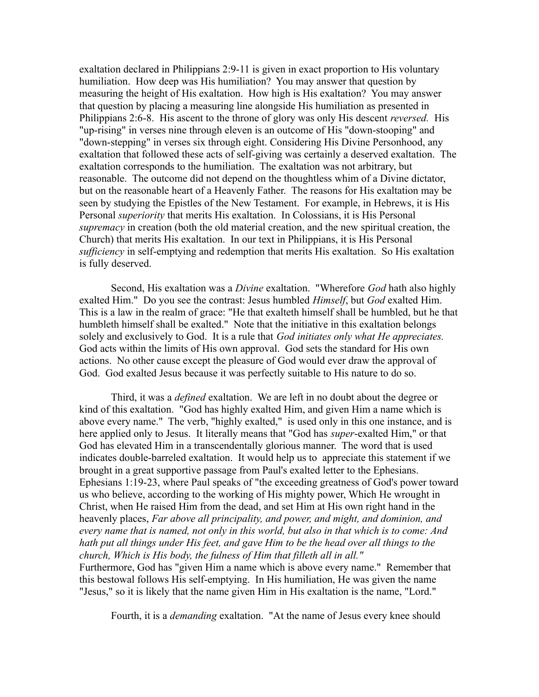exaltation declared in Philippians 2:9-11 is given in exact proportion to His voluntary humiliation. How deep was His humiliation? You may answer that question by measuring the height of His exaltation. How high is His exaltation? You may answer that question by placing a measuring line alongside His humiliation as presented in Philippians 2:6-8. His ascent to the throne of glory was only His descent *reversed.* His "up-rising" in verses nine through eleven is an outcome of His "down-stooping" and "down-stepping" in verses six through eight. Considering His Divine Personhood, any exaltation that followed these acts of self-giving was certainly a deserved exaltation. The exaltation corresponds to the humiliation. The exaltation was not arbitrary, but reasonable. The outcome did not depend on the thoughtless whim of a Divine dictator, but on the reasonable heart of a Heavenly Father. The reasons for His exaltation may be seen by studying the Epistles of the New Testament. For example, in Hebrews, it is His Personal *superiority* that merits His exaltation. In Colossians, it is His Personal *supremacy* in creation (both the old material creation, and the new spiritual creation, the Church) that merits His exaltation. In our text in Philippians, it is His Personal *sufficiency* in self-emptying and redemption that merits His exaltation. So His exaltation is fully deserved.

Second, His exaltation was a *Divine* exaltation. "Wherefore *God* hath also highly exalted Him." Do you see the contrast: Jesus humbled *Himself*, but *God* exalted Him. This is a law in the realm of grace: "He that exalteth himself shall be humbled, but he that humbleth himself shall be exalted." Note that the initiative in this exaltation belongs solely and exclusively to God. It is a rule that *God initiates only what He appreciates.* God acts within the limits of His own approval. God sets the standard for His own actions. No other cause except the pleasure of God would ever draw the approval of God. God exalted Jesus because it was perfectly suitable to His nature to do so.

Third, it was a *defined* exaltation. We are left in no doubt about the degree or kind of this exaltation. "God has highly exalted Him, and given Him a name which is above every name." The verb, "highly exalted," is used only in this one instance, and is here applied only to Jesus. It literally means that "God has *super*-exalted Him," or that God has elevated Him in a transcendentally glorious manner. The word that is used indicates double-barreled exaltation. It would help us to appreciate this statement if we brought in a great supportive passage from Paul's exalted letter to the Ephesians. Ephesians 1:19-23, where Paul speaks of "the exceeding greatness of God's power toward us who believe, according to the working of His mighty power, Which He wrought in Christ, when He raised Him from the dead, and set Him at His own right hand in the heavenly places, *Far above all principality, and power, and might, and dominion, and every name that is named, not only in this world, but also in that which is to come: And hath put all things under His feet, and gave Him to be the head over all things to the church, Which is His body, the fulness of Him that filleth all in all."* Furthermore, God has "given Him a name which is above every name." Remember that

this bestowal follows His self-emptying. In His humiliation, He was given the name "Jesus," so it is likely that the name given Him in His exaltation is the name, "Lord."

Fourth, it is a *demanding* exaltation. "At the name of Jesus every knee should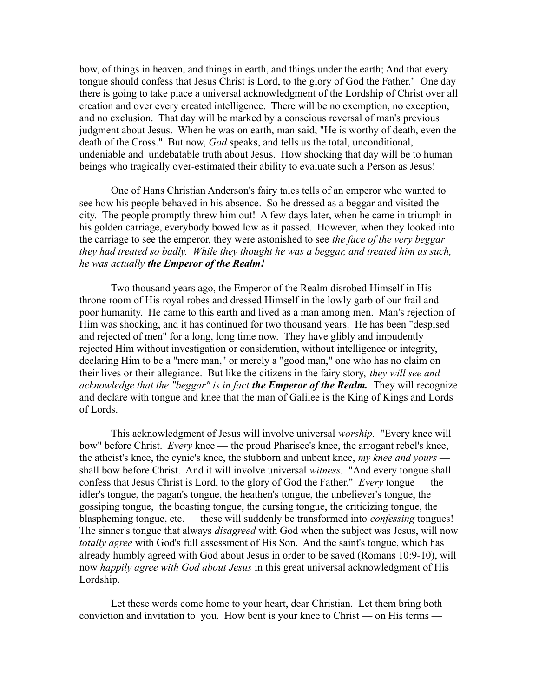bow, of things in heaven, and things in earth, and things under the earth; And that every tongue should confess that Jesus Christ is Lord, to the glory of God the Father." One day there is going to take place a universal acknowledgment of the Lordship of Christ over all creation and over every created intelligence. There will be no exemption, no exception, and no exclusion. That day will be marked by a conscious reversal of man's previous judgment about Jesus. When he was on earth, man said, "He is worthy of death, even the death of the Cross." But now, *God* speaks, and tells us the total, unconditional, undeniable and undebatable truth about Jesus. How shocking that day will be to human beings who tragically over-estimated their ability to evaluate such a Person as Jesus!

One of Hans Christian Anderson's fairy tales tells of an emperor who wanted to see how his people behaved in his absence. So he dressed as a beggar and visited the city. The people promptly threw him out! A few days later, when he came in triumph in his golden carriage, everybody bowed low as it passed. However, when they looked into the carriage to see the emperor, they were astonished to see *the face of the very beggar they had treated so badly. While they thought he was a beggar, and treated him as such, he was actually the Emperor of the Realm!*

Two thousand years ago, the Emperor of the Realm disrobed Himself in His throne room of His royal robes and dressed Himself in the lowly garb of our frail and poor humanity. He came to this earth and lived as a man among men. Man's rejection of Him was shocking, and it has continued for two thousand years. He has been "despised and rejected of men" for a long, long time now. They have glibly and impudently rejected Him without investigation or consideration, without intelligence or integrity, declaring Him to be a "mere man," or merely a "good man," one who has no claim on their lives or their allegiance. But like the citizens in the fairy story, *they will see and acknowledge that the "beggar" is in fact the Emperor of the Realm.* They will recognize and declare with tongue and knee that the man of Galilee is the King of Kings and Lords of Lords.

This acknowledgment of Jesus will involve universal *worship.* "Every knee will bow" before Christ. *Every* knee — the proud Pharisee's knee, the arrogant rebel's knee, the atheist's knee, the cynic's knee, the stubborn and unbent knee, *my knee and yours* shall bow before Christ. And it will involve universal *witness.* "And every tongue shall confess that Jesus Christ is Lord, to the glory of God the Father." *Every* tongue — the idler's tongue, the pagan's tongue, the heathen's tongue, the unbeliever's tongue, the gossiping tongue, the boasting tongue, the cursing tongue, the criticizing tongue, the blaspheming tongue, etc. — these will suddenly be transformed into *confessing* tongues! The sinner's tongue that always *disagreed* with God when the subject was Jesus, will now *totally agree* with God's full assessment of His Son. And the saint's tongue, which has already humbly agreed with God about Jesus in order to be saved (Romans 10:9-10), will now *happily agree with God about Jesus* in this great universal acknowledgment of His Lordship.

Let these words come home to your heart, dear Christian. Let them bring both conviction and invitation to you. How bent is your knee to Christ — on His terms —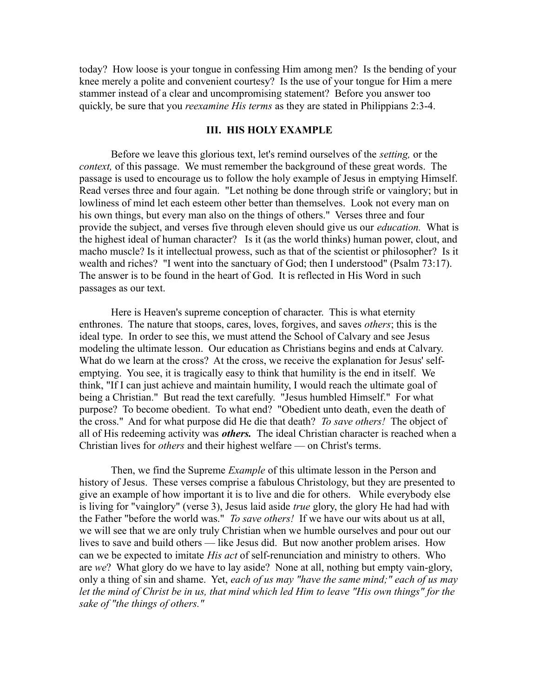today? How loose is your tongue in confessing Him among men? Is the bending of your knee merely a polite and convenient courtesy? Is the use of your tongue for Him a mere stammer instead of a clear and uncompromising statement? Before you answer too quickly, be sure that you *reexamine His terms* as they are stated in Philippians 2:3-4.

# **III. HIS HOLY EXAMPLE**

Before we leave this glorious text, let's remind ourselves of the *setting,* or the *context,* of this passage. We must remember the background of these great words. The passage is used to encourage us to follow the holy example of Jesus in emptying Himself. Read verses three and four again. "Let nothing be done through strife or vainglory; but in lowliness of mind let each esteem other better than themselves. Look not every man on his own things, but every man also on the things of others." Verses three and four provide the subject, and verses five through eleven should give us our *education.* What is the highest ideal of human character? Is it (as the world thinks) human power, clout, and macho muscle? Is it intellectual prowess, such as that of the scientist or philosopher? Is it wealth and riches? "I went into the sanctuary of God; then I understood" (Psalm 73:17). The answer is to be found in the heart of God. It is reflected in His Word in such passages as our text.

Here is Heaven's supreme conception of character. This is what eternity enthrones. The nature that stoops, cares, loves, forgives, and saves *others*; this is the ideal type. In order to see this, we must attend the School of Calvary and see Jesus modeling the ultimate lesson. Our education as Christians begins and ends at Calvary. What do we learn at the cross? At the cross, we receive the explanation for Jesus' selfemptying. You see, it is tragically easy to think that humility is the end in itself. We think, "If I can just achieve and maintain humility, I would reach the ultimate goal of being a Christian." But read the text carefully. "Jesus humbled Himself." For what purpose? To become obedient. To what end? "Obedient unto death, even the death of the cross." And for what purpose did He die that death? *To save others!* The object of all of His redeeming activity was *others.* The ideal Christian character is reached when a Christian lives for *others* and their highest welfare — on Christ's terms.

Then, we find the Supreme *Example* of this ultimate lesson in the Person and history of Jesus. These verses comprise a fabulous Christology, but they are presented to give an example of how important it is to live and die for others. While everybody else is living for "vainglory" (verse 3), Jesus laid aside *true* glory, the glory He had had with the Father "before the world was." *To save others!* If we have our wits about us at all, we will see that we are only truly Christian when we humble ourselves and pour out our lives to save and build others — like Jesus did. But now another problem arises. How can we be expected to imitate *His act* of self-renunciation and ministry to others. Who are *we*? What glory do we have to lay aside? None at all, nothing but empty vain-glory, only a thing of sin and shame. Yet, *each of us may "have the same mind;" each of us may let the mind of Christ be in us, that mind which led Him to leave "His own things" for the sake of "the things of others."*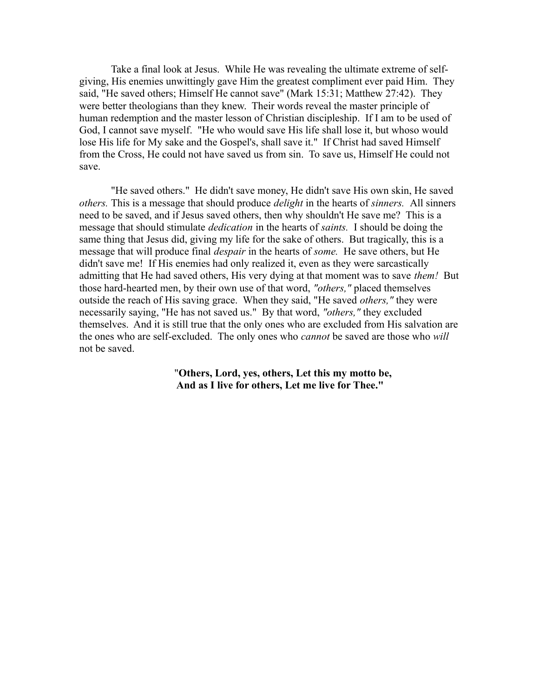Take a final look at Jesus. While He was revealing the ultimate extreme of selfgiving, His enemies unwittingly gave Him the greatest compliment ever paid Him. They said, "He saved others; Himself He cannot save" (Mark 15:31; Matthew 27:42). They were better theologians than they knew. Their words reveal the master principle of human redemption and the master lesson of Christian discipleship. If I am to be used of God, I cannot save myself. "He who would save His life shall lose it, but whoso would lose His life for My sake and the Gospel's, shall save it." If Christ had saved Himself from the Cross, He could not have saved us from sin. To save us, Himself He could not save.

"He saved others." He didn't save money, He didn't save His own skin, He saved *others.* This is a message that should produce *delight* in the hearts of *sinners.* All sinners need to be saved, and if Jesus saved others, then why shouldn't He save me? This is a message that should stimulate *dedication* in the hearts of *saints.* I should be doing the same thing that Jesus did, giving my life for the sake of others. But tragically, this is a message that will produce final *despair* in the hearts of *some.* He save others, but He didn't save me! If His enemies had only realized it, even as they were sarcastically admitting that He had saved others, His very dying at that moment was to save *them!* But those hard-hearted men, by their own use of that word, *"others,"* placed themselves outside the reach of His saving grace. When they said, "He saved *others,"* they were necessarily saying, "He has not saved us." By that word, *"others,"* they excluded themselves. And it is still true that the only ones who are excluded from His salvation are the ones who are self-excluded. The only ones who *cannot* be saved are those who *will* not be saved.

> "**Others, Lord, yes, others, Let this my motto be, And as I live for others, Let me live for Thee."**